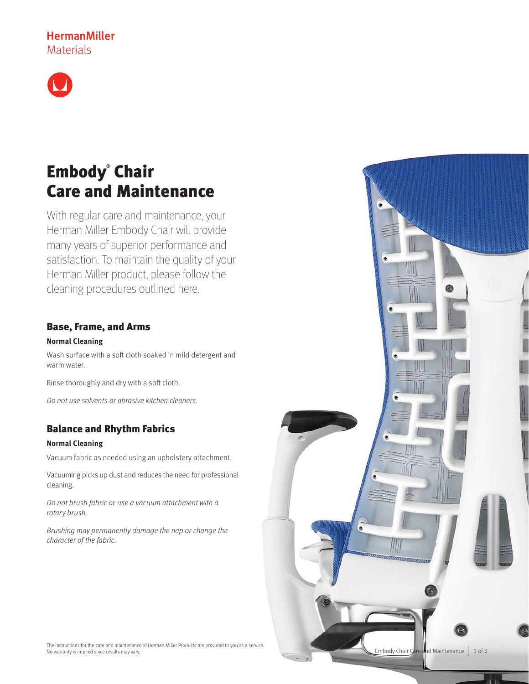# **HermanMiller** Materials



# Embody® Chair Care and Maintenance

With regular care and maintenance, your Herman Miller Embody Chair will provide many years of superior performance and satisfaction. To maintain the quality of your Herman Miller product, please follow the cleaning procedures outlined here.

### Base, Frame, and Arms

### **Normal Cleaning**

Wash surface with a soft cloth soaked in mild detergent and warm water.

Rinse thoroughly and dry with a soft cloth.

Do not use solvents or abrasive kitchen cleaners.

## Balance and Rhythm Fabrics

### **Normal Cleaning**

Vacuum fabric as needed using an upholstery attachment.

Vacuuming picks up dust and reduces the need for professional cleaning.

Do not brush fabric or use a vacuum attachment with a rotary brush.

Brushing may permanently damage the nap or change the character of the fabric.



The instructions for the care and maintenance of Herman Miller Products are provided to you as a service. No warranty is implied since results may vary.